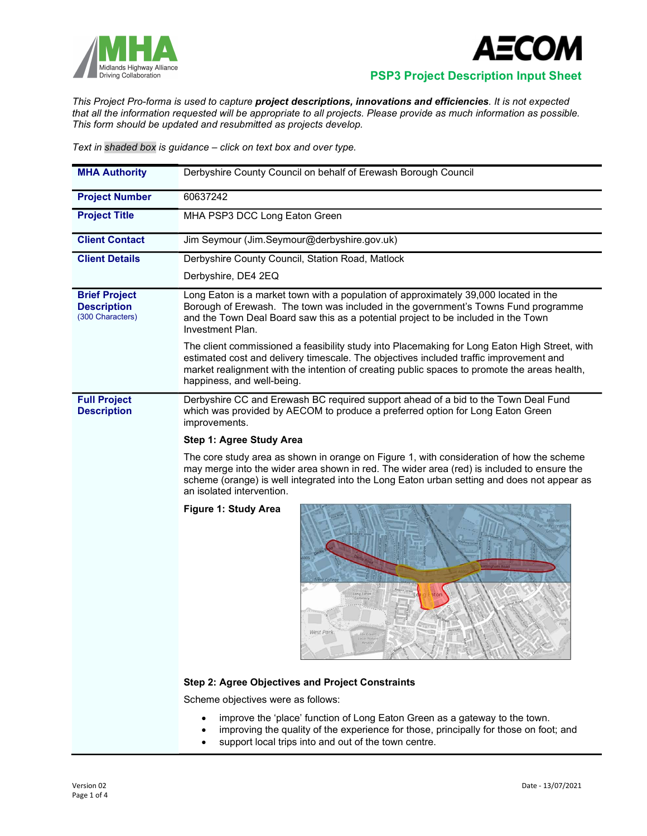



Midlands Highway Alliance<br>Driving Collaboration **PSP3 Project Description Input Sheet** 

This Project Pro-forma is used to capture project descriptions, innovations and efficiencies. It is not expected that all the information requested will be appropriate to all projects. Please provide as much information as possible. This form should be updated and resubmitted as projects develop.

Text in shaded box is guidance – click on text box and over type.

| <b>MHA Authority</b>                                           | Derbyshire County Council on behalf of Erewash Borough Council                                                                                                                                                                                                                                                        |  |  |  |  |
|----------------------------------------------------------------|-----------------------------------------------------------------------------------------------------------------------------------------------------------------------------------------------------------------------------------------------------------------------------------------------------------------------|--|--|--|--|
| <b>Project Number</b>                                          | 60637242                                                                                                                                                                                                                                                                                                              |  |  |  |  |
| <b>Project Title</b>                                           | MHA PSP3 DCC Long Eaton Green                                                                                                                                                                                                                                                                                         |  |  |  |  |
| <b>Client Contact</b>                                          | Jim Seymour (Jim.Seymour@derbyshire.gov.uk)                                                                                                                                                                                                                                                                           |  |  |  |  |
| <b>Client Details</b>                                          | Derbyshire County Council, Station Road, Matlock                                                                                                                                                                                                                                                                      |  |  |  |  |
|                                                                | Derbyshire, DE4 2EQ                                                                                                                                                                                                                                                                                                   |  |  |  |  |
| <b>Brief Project</b><br><b>Description</b><br>(300 Characters) | Long Eaton is a market town with a population of approximately 39,000 located in the<br>Borough of Erewash. The town was included in the government's Towns Fund programme<br>and the Town Deal Board saw this as a potential project to be included in the Town<br>Investment Plan.                                  |  |  |  |  |
|                                                                | The client commissioned a feasibility study into Placemaking for Long Eaton High Street, with<br>estimated cost and delivery timescale. The objectives included traffic improvement and<br>market realignment with the intention of creating public spaces to promote the areas health,<br>happiness, and well-being. |  |  |  |  |
| <b>Full Project</b><br><b>Description</b>                      | Derbyshire CC and Erewash BC required support ahead of a bid to the Town Deal Fund<br>which was provided by AECOM to produce a preferred option for Long Eaton Green<br>improvements.                                                                                                                                 |  |  |  |  |
|                                                                | Step 1: Agree Study Area                                                                                                                                                                                                                                                                                              |  |  |  |  |
|                                                                | The core study area as shown in orange on Figure 1, with consideration of how the scheme<br>may merge into the wider area shown in red. The wider area (red) is included to ensure the<br>scheme (orange) is well integrated into the Long Eaton urban setting and does not appear as<br>an isolated intervention.    |  |  |  |  |
|                                                                | Figure 1: Study Area<br>West Park                                                                                                                                                                                                                                                                                     |  |  |  |  |
|                                                                | Step 2: Agree Objectives and Project Constraints                                                                                                                                                                                                                                                                      |  |  |  |  |
|                                                                | Scheme objectives were as follows:                                                                                                                                                                                                                                                                                    |  |  |  |  |
|                                                                | improve the 'place' function of Long Eaton Green as a gateway to the town.<br>improving the quality of the experience for those, principally for those on foot; and                                                                                                                                                   |  |  |  |  |

support local trips into and out of the town centre.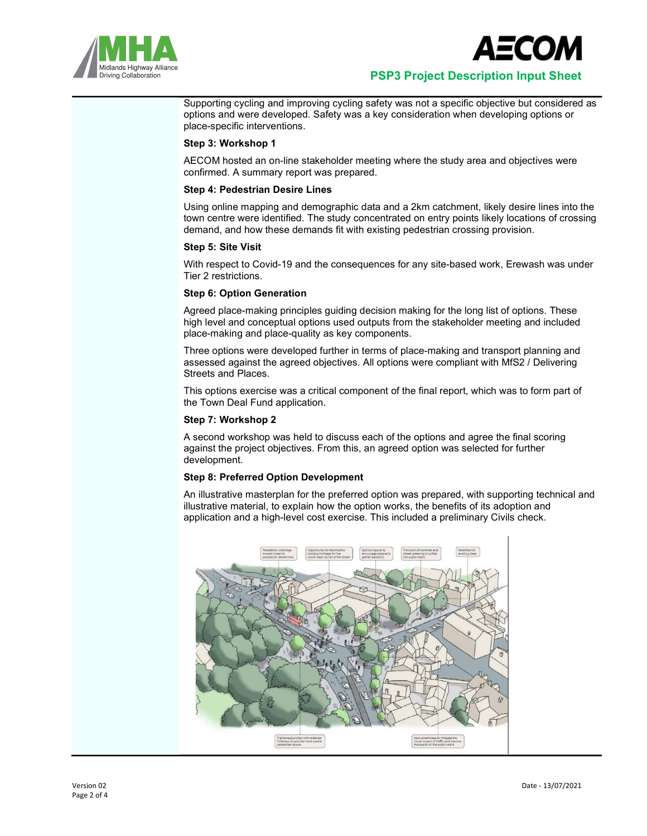



Supporting cycling and improving cycling safety was not a specific objective but considered as options and were developed. Safety was a key consideration when developing options or place-specific interventions.

# Step 3: Workshop 1

AECOM hosted an on-line stakeholder meeting where the study area and objectives were confirmed. A summary report was prepared.

## Step 4: Pedestrian Desire Lines

Using online mapping and demographic data and a 2km catchment, likely desire lines into the town centre were identified. The study concentrated on entry points likely locations of crossing demand, and how these demands fit with existing pedestrian crossing provision.

## Step 5: Site Visit

With respect to Covid-19 and the consequences for any site-based work, Erewash was under Tier 2 restrictions.

# Step 6: Option Generation

Agreed place-making principles guiding decision making for the long list of options. These high level and conceptual options used outputs from the stakeholder meeting and included place-making and place-quality as key components.

Three options were developed further in terms of place-making and transport planning and assessed against the agreed objectives. All options were compliant with MfS2 / Delivering Streets and Places.

This options exercise was a critical component of the final report, which was to form part of the Town Deal Fund application.

## Step 7: Workshop 2

A second workshop was held to discuss each of the options and agree the final scoring against the project objectives. From this, an agreed option was selected for further development.

## Step 8: Preferred Option Development

An illustrative masterplan for the preferred option was prepared, with supporting technical and illustrative material, to explain how the option works, the benefits of its adoption and application and a high-level cost exercise. This included a preliminary Civils check.

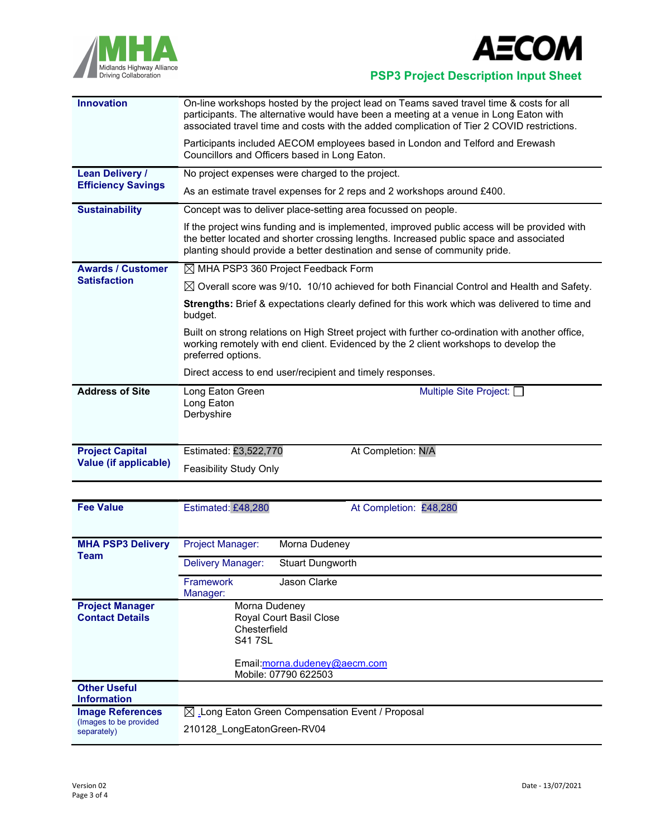



Midlands Highway Alliance<br>Driving Collaboration<br>Driving Collaboration

| <b>Innovation</b>                                      | On-line workshops hosted by the project lead on Teams saved travel time & costs for all<br>participants. The alternative would have been a meeting at a venue in Long Eaton with<br>associated travel time and costs with the added complication of Tier 2 COVID restrictions. |  |  |  |  |
|--------------------------------------------------------|--------------------------------------------------------------------------------------------------------------------------------------------------------------------------------------------------------------------------------------------------------------------------------|--|--|--|--|
|                                                        | Participants included AECOM employees based in London and Telford and Erewash<br>Councillors and Officers based in Long Eaton.                                                                                                                                                 |  |  |  |  |
| <b>Lean Delivery /</b>                                 | No project expenses were charged to the project.                                                                                                                                                                                                                               |  |  |  |  |
| <b>Efficiency Savings</b>                              | As an estimate travel expenses for 2 reps and 2 workshops around £400.                                                                                                                                                                                                         |  |  |  |  |
| <b>Sustainability</b>                                  | Concept was to deliver place-setting area focussed on people.                                                                                                                                                                                                                  |  |  |  |  |
|                                                        | If the project wins funding and is implemented, improved public access will be provided with<br>the better located and shorter crossing lengths. Increased public space and associated<br>planting should provide a better destination and sense of community pride.           |  |  |  |  |
| <b>Awards / Customer</b>                               | $\boxtimes$ MHA PSP3 360 Project Feedback Form                                                                                                                                                                                                                                 |  |  |  |  |
| <b>Satisfaction</b>                                    | $\boxtimes$ Overall score was 9/10. 10/10 achieved for both Financial Control and Health and Safety.                                                                                                                                                                           |  |  |  |  |
|                                                        | Strengths: Brief & expectations clearly defined for this work which was delivered to time and<br>budget.                                                                                                                                                                       |  |  |  |  |
|                                                        | Built on strong relations on High Street project with further co-ordination with another office,<br>working remotely with end client. Evidenced by the 2 client workshops to develop the<br>preferred options.                                                                 |  |  |  |  |
|                                                        | Direct access to end user/recipient and timely responses.                                                                                                                                                                                                                      |  |  |  |  |
| <b>Address of Site</b>                                 | Long Eaton Green<br>Multiple Site Project: [<br>Long Eaton<br>Derbyshire                                                                                                                                                                                                       |  |  |  |  |
| <b>Project Capital</b><br><b>Value (if applicable)</b> | Estimated: £3,522,770<br>At Completion: N/A                                                                                                                                                                                                                                    |  |  |  |  |
|                                                        | <b>Feasibility Study Only</b>                                                                                                                                                                                                                                                  |  |  |  |  |
|                                                        |                                                                                                                                                                                                                                                                                |  |  |  |  |
| <b>Fee Value</b>                                       | Estimated: £48,280<br>At Completion: £48,280                                                                                                                                                                                                                                   |  |  |  |  |
|                                                        |                                                                                                                                                                                                                                                                                |  |  |  |  |

| <b>MHA PSP3 Delivery</b><br><b>Team</b>                          | Project Manager:<br>Morna Dudeney                                                                                                 |
|------------------------------------------------------------------|-----------------------------------------------------------------------------------------------------------------------------------|
|                                                                  | Delivery Manager:<br><b>Stuart Dungworth</b>                                                                                      |
|                                                                  | Jason Clarke<br><b>Framework</b><br>Manager:                                                                                      |
| <b>Project Manager</b><br><b>Contact Details</b>                 | Morna Dudeney<br>Royal Court Basil Close<br>Chesterfield<br><b>S417SL</b><br>Email:morna.dudeney@aecm.com<br>Mobile: 07790 622503 |
| <b>Other Useful</b><br><b>Information</b>                        |                                                                                                                                   |
| <b>Image References</b><br>(Images to be provided<br>separately) | ⊠ Long Eaton Green Compensation Event / Proposal                                                                                  |
|                                                                  | 210128 LongEatonGreen-RV04                                                                                                        |